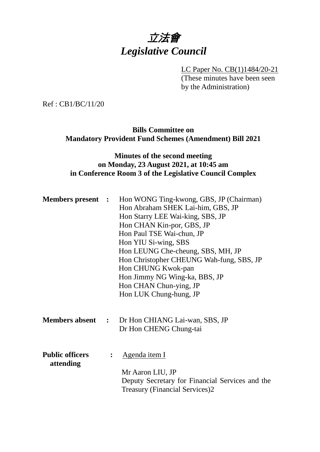# 立法會 *Legislative Council*

LC Paper No. CB(1)1484/20-21 (These minutes have been seen by the Administration)

Ref : CB1/BC/11/20

## **Bills Committee on Mandatory Provident Fund Schemes (Amendment) Bill 2021**

## **Minutes of the second meeting on Monday, 23 August 2021, at 10:45 am in Conference Room 3 of the Legislative Council Complex**

| <b>Members present :</b>            |                | Hon WONG Ting-kwong, GBS, JP (Chairman)<br>Hon Abraham SHEK Lai-him, GBS, JP<br>Hon Starry LEE Wai-king, SBS, JP<br>Hon CHAN Kin-por, GBS, JP<br>Hon Paul TSE Wai-chun, JP<br>Hon YIU Si-wing, SBS |
|-------------------------------------|----------------|----------------------------------------------------------------------------------------------------------------------------------------------------------------------------------------------------|
|                                     |                | Hon LEUNG Che-cheung, SBS, MH, JP<br>Hon Christopher CHEUNG Wah-fung, SBS, JP<br>Hon CHUNG Kwok-pan<br>Hon Jimmy NG Wing-ka, BBS, JP<br>Hon CHAN Chun-ying, JP<br>Hon LUK Chung-hung, JP           |
|                                     |                | <b>Members absent :</b> Dr Hon CHIANG Lai-wan, SBS, JP<br>Dr Hon CHENG Chung-tai                                                                                                                   |
| <b>Public officers</b><br>attending | $\ddot{\cdot}$ | <u>Agenda item I</u><br>Mr Aaron LIU, JP<br>Deputy Secretary for Financial Services and the<br><b>Treasury (Financial Services)2</b>                                                               |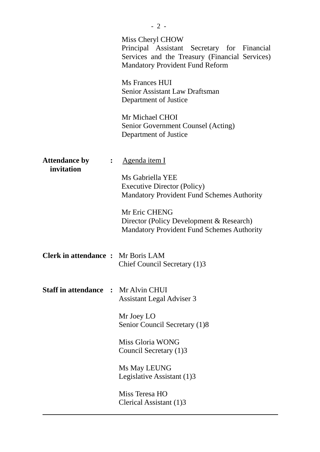|                                          |                  | Miss Cheryl CHOW<br>Principal Assistant Secretary for Financial<br>Services and the Treasury (Financial Services)<br><b>Mandatory Provident Fund Reform</b> |
|------------------------------------------|------------------|-------------------------------------------------------------------------------------------------------------------------------------------------------------|
|                                          |                  | Ms Frances HUI<br><b>Senior Assistant Law Draftsman</b><br>Department of Justice                                                                            |
|                                          |                  | Mr Michael CHOI<br>Senior Government Counsel (Acting)<br>Department of Justice                                                                              |
| <b>Attendance by</b><br>invitation       | $\ddot{\bullet}$ | <u>Agenda item I</u>                                                                                                                                        |
|                                          |                  | Ms Gabriella YEE<br><b>Executive Director (Policy)</b><br><b>Mandatory Provident Fund Schemes Authority</b>                                                 |
|                                          |                  | Mr Eric CHENG<br>Director (Policy Development & Research)<br><b>Mandatory Provident Fund Schemes Authority</b>                                              |
| <b>Clerk in attendance:</b> Mr Boris LAM |                  | Chief Council Secretary (1)3                                                                                                                                |
| <b>Staff in attendance :</b>             |                  | Mr Alvin CHUI<br><b>Assistant Legal Adviser 3</b>                                                                                                           |
|                                          |                  | Mr Joey LO<br>Senior Council Secretary (1)8                                                                                                                 |
|                                          |                  | Miss Gloria WONG<br>Council Secretary (1)3                                                                                                                  |
|                                          |                  | Ms May LEUNG<br>Legislative Assistant (1)3                                                                                                                  |
|                                          |                  | Miss Teresa HO<br>Clerical Assistant (1)3                                                                                                                   |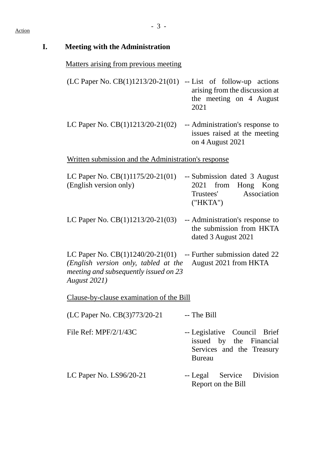| <b>Meeting with the Administration</b>                                                                                                                                     |                                                                                                       |
|----------------------------------------------------------------------------------------------------------------------------------------------------------------------------|-------------------------------------------------------------------------------------------------------|
| <u>Matters arising from previous meeting</u>                                                                                                                               |                                                                                                       |
| (LC Paper No. $CB(1)1213/20-21(01)$                                                                                                                                        | -- List of follow-up actions<br>arising from the discussion at<br>the meeting on 4 August<br>2021     |
| LC Paper No. $CB(1)1213/20-21(02)$                                                                                                                                         | -- Administration's response to<br>issues raised at the meeting<br>on 4 August 2021                   |
| Written submission and the Administration's response                                                                                                                       |                                                                                                       |
| LC Paper No. $CB(1)1175/20-21(01)$<br>(English version only)                                                                                                               | -- Submission dated 3 August<br>2021 from<br>Hong Kong<br>Association<br>Trustees'<br>("HKTA")        |
| LC Paper No. $CB(1)1213/20-21(03)$                                                                                                                                         | -- Administration's response to<br>the submission from HKTA<br>dated 3 August 2021                    |
| LC Paper No. $CB(1)1240/20-21(01)$ -- Further submission dated 22<br>(English version only, tabled at the<br>meeting and subsequently issued on 23<br><b>August 2021</b> ) | August 2021 from HKTA                                                                                 |
| Clause-by-clause examination of the Bill                                                                                                                                   |                                                                                                       |
| (LC Paper No. CB(3)773/20-21                                                                                                                                               | -- The Bill                                                                                           |
| File Ref: $MPF/2/1/43C$                                                                                                                                                    | -- Legislative Council Brief<br>issued by the Financial<br>Services and the Treasury<br><b>Bureau</b> |
| LC Paper No. $LS96/20-21$                                                                                                                                                  | -- Legal Service<br>Division<br>Report on the Bill                                                    |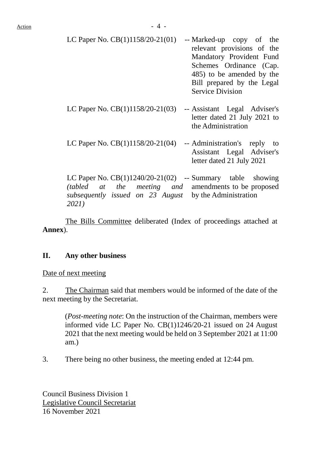| LC Paper No. $CB(1)1158/20-21(01)$                                                                                                                                                             | -- Marked-up copy of the<br>relevant provisions of the<br>Mandatory Provident Fund<br>Schemes Ordinance (Cap.<br>485) to be amended by the<br>Bill prepared by the Legal<br><b>Service Division</b> |
|------------------------------------------------------------------------------------------------------------------------------------------------------------------------------------------------|-----------------------------------------------------------------------------------------------------------------------------------------------------------------------------------------------------|
| LC Paper No. $CB(1)1158/20-21(03)$                                                                                                                                                             | -- Assistant Legal Adviser's<br>letter dated 21 July 2021 to<br>the Administration                                                                                                                  |
| LC Paper No. $CB(1)1158/20-21(04)$                                                                                                                                                             | -- Administration's reply to<br>Assistant Legal Adviser's<br>letter dated 21 July 2021                                                                                                              |
| LC Paper No. $CB(1)1240/20-21(02)$ -- Summary table showing<br><i>(tabled at the meeting and amendments to be proposed)</i><br>subsequently issued on 23 August by the Administration<br>2021) |                                                                                                                                                                                                     |

The Bills Committee deliberated (Index of proceedings attached at **Annex**).

#### **II. Any other business**

Date of next meeting

2. The Chairman said that members would be informed of the date of the next meeting by the Secretariat.

(*Post-meeting note*: On the instruction of the Chairman, members were informed vide LC Paper No. CB(1)1246/20-21 issued on 24 August 2021 that the next meeting would be held on 3 September 2021 at 11:00 am.)

3. There being no other business, the meeting ended at 12:44 pm.

Council Business Division 1 Legislative Council Secretariat 16 November 2021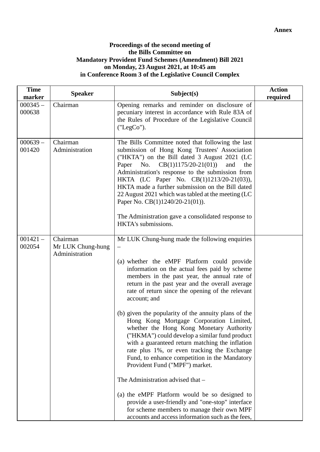#### **Proceedings of the second meeting of the Bills Committee on Mandatory Provident Fund Schemes (Amendment) Bill 2021 on Monday, 23 August 2021, at 10:45 am in Conference Room 3 of the Legislative Council Complex**

| <b>Time</b><br>marker | <b>Speaker</b>                                  | Subject(s)                                                                                                                                                                                                                                                                                                                                                                                                                                                                                                                                                                                                                                                                                                                                                                                                                                                                                                                                              | <b>Action</b><br>required |
|-----------------------|-------------------------------------------------|---------------------------------------------------------------------------------------------------------------------------------------------------------------------------------------------------------------------------------------------------------------------------------------------------------------------------------------------------------------------------------------------------------------------------------------------------------------------------------------------------------------------------------------------------------------------------------------------------------------------------------------------------------------------------------------------------------------------------------------------------------------------------------------------------------------------------------------------------------------------------------------------------------------------------------------------------------|---------------------------|
| $000345 -$<br>000638  | Chairman                                        | Opening remarks and reminder on disclosure of<br>pecuniary interest in accordance with Rule 83A of<br>the Rules of Procedure of the Legislative Council<br>("LegCo").                                                                                                                                                                                                                                                                                                                                                                                                                                                                                                                                                                                                                                                                                                                                                                                   |                           |
| $000639 -$<br>001420  | Chairman<br>Administration                      | The Bills Committee noted that following the last<br>submission of Hong Kong Trustees' Association<br>("HKTA") on the Bill dated 3 August 2021 (LC<br>$CB(1)1175/20-21(01))$<br>Paper No.<br>and<br>the<br>Administration's response to the submission from<br>HKTA (LC Paper No. CB(1)1213/20-21(03)),<br>HKTA made a further submission on the Bill dated<br>22 August 2021 which was tabled at the meeting (LC<br>Paper No. CB(1)1240/20-21(01)).<br>The Administration gave a consolidated response to<br>HKTA's submissions.                                                                                                                                                                                                                                                                                                                                                                                                                       |                           |
| $001421 -$<br>002054  | Chairman<br>Mr LUK Chung-hung<br>Administration | Mr LUK Chung-hung made the following enquiries<br>(a) whether the eMPF Platform could provide<br>information on the actual fees paid by scheme<br>members in the past year, the annual rate of<br>return in the past year and the overall average<br>rate of return since the opening of the relevant<br>account; and<br>(b) given the popularity of the annuity plans of the<br>Hong Kong Mortgage Corporation Limited,<br>whether the Hong Kong Monetary Authority<br>("HKMA") could develop a similar fund product<br>with a guaranteed return matching the inflation<br>rate plus 1%, or even tracking the Exchange<br>Fund, to enhance competition in the Mandatory<br>Provident Fund ("MPF") market.<br>The Administration advised that -<br>(a) the eMPF Platform would be so designed to<br>provide a user-friendly and "one-stop" interface<br>for scheme members to manage their own MPF<br>accounts and access information such as the fees, |                           |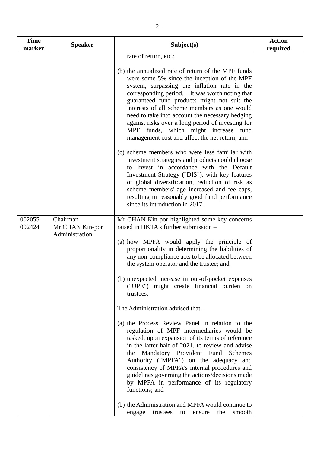| <b>Time</b><br>marker | <b>Speaker</b>                                | Subject(s)                                                                                                                                                                                                                                                                                                                                                                                                                                                                                                           | <b>Action</b><br>required |
|-----------------------|-----------------------------------------------|----------------------------------------------------------------------------------------------------------------------------------------------------------------------------------------------------------------------------------------------------------------------------------------------------------------------------------------------------------------------------------------------------------------------------------------------------------------------------------------------------------------------|---------------------------|
|                       |                                               | rate of return, etc.;                                                                                                                                                                                                                                                                                                                                                                                                                                                                                                |                           |
|                       |                                               | (b) the annualized rate of return of the MPF funds<br>were some 5% since the inception of the MPF<br>system, surpassing the inflation rate in the<br>corresponding period. It was worth noting that<br>guaranteed fund products might not suit the<br>interests of all scheme members as one would<br>need to take into account the necessary hedging<br>against risks over a long period of investing for<br>MPF funds, which might increase fund<br>management cost and affect the net return; and                 |                           |
|                       |                                               | (c) scheme members who were less familiar with<br>investment strategies and products could choose<br>to invest in accordance with the Default<br>Investment Strategy ("DIS"), with key features<br>of global diversification, reduction of risk as<br>scheme members' age increased and fee caps,<br>resulting in reasonably good fund performance<br>since its introduction in 2017.                                                                                                                                |                           |
| $002055 -$<br>002424  | Chairman<br>Mr CHAN Kin-por<br>Administration | Mr CHAN Kin-por highlighted some key concerns<br>raised in HKTA's further submission -<br>(a) how MPFA would apply the principle of<br>proportionality in determining the liabilities of<br>any non-compliance acts to be allocated between<br>the system operator and the trustee; and<br>(b) unexpected increase in out-of-pocket expenses<br>("OPE") might create financial burden on<br>trustees.<br>The Administration advised that -<br>(a) the Process Review Panel in relation to the                        |                           |
|                       |                                               | regulation of MPF intermediaries would be<br>tasked, upon expansion of its terms of reference<br>in the latter half of 2021, to review and advise<br>the Mandatory Provident Fund<br>Schemes<br>Authority ("MPFA") on the adequacy and<br>consistency of MPFA's internal procedures and<br>guidelines governing the actions/decisions made<br>by MPFA in performance of its regulatory<br>functions; and<br>(b) the Administration and MPFA would continue to<br>the<br>smooth<br>trustees<br>engage<br>to<br>ensure |                           |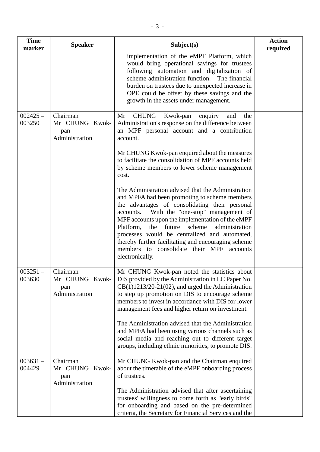| <b>Time</b><br>marker | <b>Speaker</b>                                      | Subject(s)                                                                                                                                                                                                                                                                                                                                                                                                                                                                                                                                       | <b>Action</b><br>required |
|-----------------------|-----------------------------------------------------|--------------------------------------------------------------------------------------------------------------------------------------------------------------------------------------------------------------------------------------------------------------------------------------------------------------------------------------------------------------------------------------------------------------------------------------------------------------------------------------------------------------------------------------------------|---------------------------|
|                       |                                                     | implementation of the eMPF Platform, which<br>would bring operational savings for trustees<br>following automation and digitalization of<br>scheme administration function. The financial<br>burden on trustees due to unexpected increase in<br>OPE could be offset by these savings and the<br>growth in the assets under management.                                                                                                                                                                                                          |                           |
| $002425 -$<br>003250  | Chairman<br>Mr CHUNG Kwok-<br>pan<br>Administration | <b>CHUNG</b><br>Mr<br>Kwok-pan<br>the<br>enquiry<br>and<br>Administration's response on the difference between<br>an MPF personal account and a contribution<br>account.<br>Mr CHUNG Kwok-pan enquired about the measures<br>to facilitate the consolidation of MPF accounts held                                                                                                                                                                                                                                                                |                           |
|                       |                                                     | by scheme members to lower scheme management<br>cost.<br>The Administration advised that the Administration<br>and MPFA had been promoting to scheme members<br>the advantages of consolidating their personal<br>With the "one-stop" management of<br>accounts.<br>MPF accounts upon the implementation of the eMPF<br>Platform,<br>the future scheme<br>administration<br>processes would be centralized and automated,<br>thereby further facilitating and encouraging scheme<br>members to consolidate their MPF accounts<br>electronically. |                           |
| $003251 -$<br>003630  | Chairman<br>Mr CHUNG Kwok-<br>pan<br>Administration | Mr CHUNG Kwok-pan noted the statistics about<br>DIS provided by the Administration in LC Paper No.<br>$CB(1)1213/20-21(02)$ , and urged the Administration<br>to step up promotion on DIS to encourage scheme<br>members to invest in accordance with DIS for lower<br>management fees and higher return on investment.<br>The Administration advised that the Administration<br>and MPFA had been using various channels such as<br>social media and reaching out to different target<br>groups, including ethnic minorities, to promote DIS.   |                           |
| $003631 -$<br>004429  | Chairman<br>Mr CHUNG Kwok-<br>pan<br>Administration | Mr CHUNG Kwok-pan and the Chairman enquired<br>about the timetable of the eMPF onboarding process<br>of trustees.<br>The Administration advised that after ascertaining<br>trustees' willingness to come forth as "early birds"<br>for onboarding and based on the pre-determined<br>criteria, the Secretary for Financial Services and the                                                                                                                                                                                                      |                           |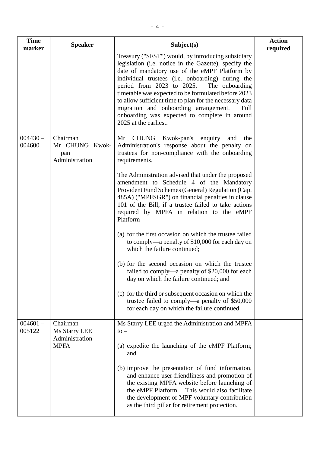| <b>Time</b><br>marker | <b>Speaker</b>                                             | Subject(s)                                                                                                                                                                                                                                                                                                                                                                                                                                                                                                        | <b>Action</b><br>required |
|-----------------------|------------------------------------------------------------|-------------------------------------------------------------------------------------------------------------------------------------------------------------------------------------------------------------------------------------------------------------------------------------------------------------------------------------------------------------------------------------------------------------------------------------------------------------------------------------------------------------------|---------------------------|
|                       |                                                            | Treasury ("SFST") would, by introducing subsidiary<br>legislation (i.e. notice in the Gazette), specify the<br>date of mandatory use of the eMPF Platform by<br>individual trustees (i.e. onboarding) during the<br>period from $2023$ to $2025$ .<br>The onboarding<br>timetable was expected to be formulated before 2023<br>to allow sufficient time to plan for the necessary data<br>migration and onboarding arrangement.<br>Full<br>onboarding was expected to complete in around<br>2025 at the earliest. |                           |
| $004430 -$<br>004600  | Chairman<br>Mr CHUNG Kwok-<br>pan<br>Administration        | Mr CHUNG Kwok-pan's enquiry and the<br>Administration's response about the penalty on<br>trustees for non-compliance with the onboarding<br>requirements.                                                                                                                                                                                                                                                                                                                                                         |                           |
|                       |                                                            | The Administration advised that under the proposed<br>amendment to Schedule 4 of the Mandatory<br>Provident Fund Schemes (General) Regulation (Cap.<br>485A) ("MPFSGR") on financial penalties in clause<br>101 of the Bill, if a trustee failed to take actions<br>required by MPFA in relation to the eMPF<br>$Platform -$                                                                                                                                                                                      |                           |
|                       |                                                            | (a) for the first occasion on which the trustee failed<br>to comply—a penalty of \$10,000 for each day on<br>which the failure continued;                                                                                                                                                                                                                                                                                                                                                                         |                           |
|                       |                                                            | (b) for the second occasion on which the trustee<br>failed to comply—a penalty of \$20,000 for each<br>day on which the failure continued; and                                                                                                                                                                                                                                                                                                                                                                    |                           |
|                       |                                                            | (c) for the third or subsequent occasion on which the<br>trustee failed to comply—a penalty of \$50,000<br>for each day on which the failure continued.                                                                                                                                                                                                                                                                                                                                                           |                           |
| $004601 -$<br>005122  | Chairman<br>Ms Starry LEE<br>Administration<br><b>MPFA</b> | Ms Starry LEE urged the Administration and MPFA<br>$\mathsf{to}-$<br>(a) expedite the launching of the eMPF Platform;<br>and                                                                                                                                                                                                                                                                                                                                                                                      |                           |
|                       |                                                            | (b) improve the presentation of fund information,<br>and enhance user-friendliness and promotion of<br>the existing MPFA website before launching of<br>the eMPF Platform. This would also facilitate<br>the development of MPF voluntary contribution<br>as the third pillar for retirement protection.                                                                                                                                                                                                          |                           |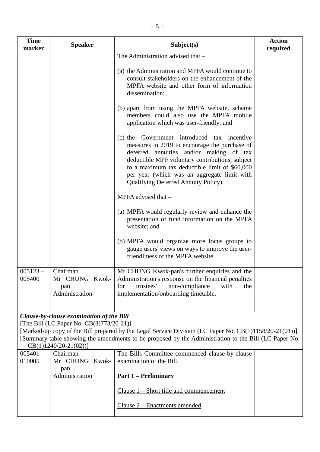| <b>Time</b><br>marker | <b>Speaker</b>                                                                                                 | Subject(s)                                                                                                                                                                                                                                                                                                                            | <b>Action</b><br>required |
|-----------------------|----------------------------------------------------------------------------------------------------------------|---------------------------------------------------------------------------------------------------------------------------------------------------------------------------------------------------------------------------------------------------------------------------------------------------------------------------------------|---------------------------|
|                       |                                                                                                                | The Administration advised that -                                                                                                                                                                                                                                                                                                     |                           |
|                       |                                                                                                                | (a) the Administration and MPFA would continue to<br>consult stakeholders on the enhancement of the<br>MPFA website and other form of information<br>dissemination;                                                                                                                                                                   |                           |
|                       |                                                                                                                | (b) apart from using the MPFA website, scheme<br>members could also use the MPFA mobile<br>application which was user-friendly; and                                                                                                                                                                                                   |                           |
|                       |                                                                                                                | (c) the Government introduced<br>tax incentive<br>measures in 2019 to encourage the purchase of<br>deferred annuities and/or making of tax<br>deductible MPF voluntary contributions, subject<br>to a maximum tax deductible limit of \$60,000<br>per year (which was an aggregate limit with<br>Qualifying Deferred Annuity Policy). |                           |
|                       |                                                                                                                | MPFA advised that -                                                                                                                                                                                                                                                                                                                   |                           |
|                       |                                                                                                                | (a) MPFA would regularly review and enhance the<br>presentation of fund information on the MPFA<br>website; and                                                                                                                                                                                                                       |                           |
|                       |                                                                                                                | (b) MPFA would organize more focus groups to<br>gauge users' views on ways to improve the user-<br>friendliness of the MPFA website.                                                                                                                                                                                                  |                           |
| $005123 -$<br>005400  | Chairman<br>Mr CHUNG Kwok-<br>pan<br>Administration                                                            | Mr CHUNG Kwok-pan's further enquiries and the<br>Administration's response on the financial penalties<br>trustees'<br>for<br>non-compliance<br>with<br>the<br>implementation/onboarding timetable.                                                                                                                                    |                           |
|                       | Clause-by-clause examination of the Bill<br>[The Bill (LC Paper No. CB(3)773/20-21)]<br>$CB(1)1240/20-21(02))$ | [Marked-up copy of the Bill prepared by the Legal Service Division (LC Paper No. CB(1)1158/20-21(01))]<br>[Summary table showing the amendments to be proposed by the Administration to the Bill (LC Paper No.                                                                                                                        |                           |
| $005401 -$<br>010005  | Chairman<br>Mr CHUNG Kwok-                                                                                     | The Bills Committee commenced clause-by-clause<br>examination of the Bill.                                                                                                                                                                                                                                                            |                           |
|                       | pan<br>Administration                                                                                          | <b>Part 1 – Preliminary</b>                                                                                                                                                                                                                                                                                                           |                           |
|                       |                                                                                                                | Clause $1$ – Short title and commencement                                                                                                                                                                                                                                                                                             |                           |
|                       |                                                                                                                | Clause 2 – Enactments amended                                                                                                                                                                                                                                                                                                         |                           |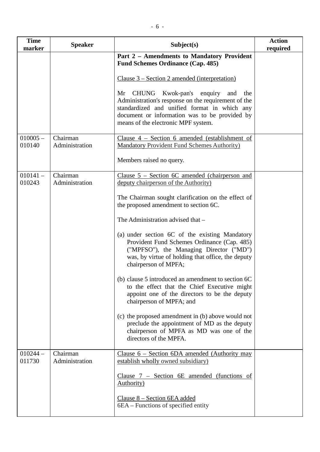| <b>Time</b><br>marker | <b>Speaker</b>             | Subject(s)                                                                                                                                                                                                                                     | <b>Action</b><br>required |
|-----------------------|----------------------------|------------------------------------------------------------------------------------------------------------------------------------------------------------------------------------------------------------------------------------------------|---------------------------|
|                       |                            | Part 2 - Amendments to Mandatory Provident<br><b>Fund Schemes Ordinance (Cap. 485)</b>                                                                                                                                                         |                           |
|                       |                            | Clause $3 - Section 2$ amended (interpretation)                                                                                                                                                                                                |                           |
|                       |                            | CHUNG Kwok-pan's<br>enquiry<br>Mr<br>and<br>the<br>Administration's response on the requirement of the<br>standardized and unified format in which any<br>document or information was to be provided by<br>means of the electronic MPF system. |                           |
| $010005 -$<br>010140  | Chairman<br>Administration | Clause $4$ – Section 6 amended (establishment of<br><b>Mandatory Provident Fund Schemes Authority)</b>                                                                                                                                         |                           |
|                       |                            | Members raised no query.                                                                                                                                                                                                                       |                           |
| $010141 -$            | Chairman<br>Administration | Clause $5$ – Section 6C amended (chairperson and                                                                                                                                                                                               |                           |
| 010243                |                            | deputy chairperson of the Authority)                                                                                                                                                                                                           |                           |
|                       |                            | The Chairman sought clarification on the effect of<br>the proposed amendment to section 6C.                                                                                                                                                    |                           |
|                       |                            | The Administration advised that -                                                                                                                                                                                                              |                           |
|                       |                            | (a) under section 6C of the existing Mandatory<br>Provident Fund Schemes Ordinance (Cap. 485)<br>("MPFSO"), the Managing Director ("MD")<br>was, by virtue of holding that office, the deputy<br>chairperson of MPFA;                          |                           |
|                       |                            | (b) clause 5 introduced an amendment to section 6C<br>to the effect that the Chief Executive might<br>appoint one of the directors to be the deputy<br>chairperson of MPFA; and                                                                |                           |
|                       |                            | (c) the proposed amendment in (b) above would not<br>preclude the appointment of MD as the deputy<br>chairperson of MPFA as MD was one of the<br>directors of the MPFA.                                                                        |                           |
| $010244 -$<br>011730  | Chairman<br>Administration | Clause 6 - Section 6DA amended (Authority may<br>establish wholly owned subsidiary)                                                                                                                                                            |                           |
|                       |                            | Clause $7$ – Section 6E amended (functions of<br><b>Authority</b> )                                                                                                                                                                            |                           |
|                       |                            | Clause 8 – Section 6EA added<br>6EA – Functions of specified entity                                                                                                                                                                            |                           |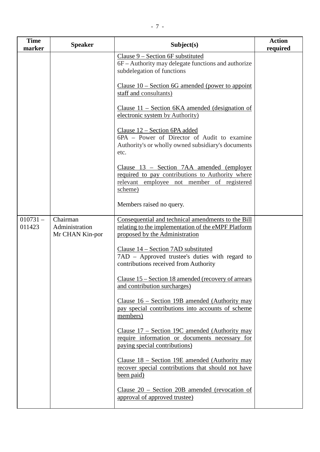| <b>Time</b><br>marker | <b>Speaker</b>                                | Subject(s)                                                                                                                                             | <b>Action</b><br>required |
|-----------------------|-----------------------------------------------|--------------------------------------------------------------------------------------------------------------------------------------------------------|---------------------------|
|                       |                                               | Clause 9 – Section 6F substituted<br>6F – Authority may delegate functions and authorize<br>subdelegation of functions                                 |                           |
|                       |                                               | Clause $10$ – Section 6G amended (power to appoint<br>staff and consultants)                                                                           |                           |
|                       |                                               | <u> Clause 11 – Section 6KA amended (designation of</u><br>electronic system by Authority)                                                             |                           |
|                       |                                               | Clause 12 - Section 6PA added<br>6PA - Power of Director of Audit to examine<br>Authority's or wholly owned subsidiary's documents<br>etc.             |                           |
|                       |                                               | Clause 13 – Section 7AA amended (employer<br>required to pay contributions to Authority where<br>relevant employee not member of registered<br>scheme) |                           |
|                       |                                               | Members raised no query.                                                                                                                               |                           |
| $010731 -$<br>011423  | Chairman<br>Administration<br>Mr CHAN Kin-por | Consequential and technical amendments to the Bill<br>relating to the implementation of the eMPF Platform<br>proposed by the Administration            |                           |
|                       |                                               | Clause 14 - Section 7AD substituted<br>7AD – Approved trustee's duties with regard to<br>contributions received from Authority                         |                           |
|                       |                                               | Clause 15 – Section 18 amended (recovery of arrears<br>and contribution surcharges)                                                                    |                           |
|                       |                                               | Clause 16 – Section 19B amended (Authority may<br>pay special contributions into accounts of scheme<br>members)                                        |                           |
|                       |                                               | Clause $17$ – Section 19C amended (Authority may<br>require information or documents necessary for<br>paying special contributions)                    |                           |
|                       |                                               | Clause $18$ – Section 19E amended (Authority may<br>recover special contributions that should not have<br>been paid)                                   |                           |
|                       |                                               | Clause $20$ – Section 20B amended (revocation of<br>approval of approved trustee)                                                                      |                           |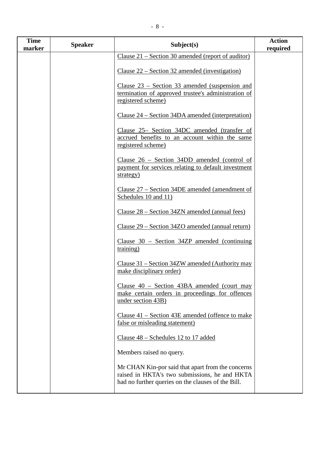| <b>Time</b><br>marker | <b>Speaker</b> | Subject(s)                                                                                                                                               | <b>Action</b><br>required |
|-----------------------|----------------|----------------------------------------------------------------------------------------------------------------------------------------------------------|---------------------------|
|                       |                | Clause $21$ – Section 30 amended (report of auditor)                                                                                                     |                           |
|                       |                | Clause $22$ – Section 32 amended (investigation)                                                                                                         |                           |
|                       |                | Clause $23$ – Section 33 amended (suspension and<br>termination of approved trustee's administration of<br>registered scheme)                            |                           |
|                       |                | Clause 24 – Section 34DA amended (interpretation)                                                                                                        |                           |
|                       |                | Clause 25– Section 34DC amended (transfer of<br>accrued benefits to an account within the same<br>registered scheme)                                     |                           |
|                       |                | Clause $26$ – Section 34DD amended (control of<br>payment for services relating to default investment<br>strategy)                                       |                           |
|                       |                | Clause 27 – Section 34DE amended (amendment of<br>Schedules 10 and 11)                                                                                   |                           |
|                       |                | Clause 28 – Section 34ZN amended (annual fees)                                                                                                           |                           |
|                       |                | Clause 29 – Section 34ZO amended (annual return)                                                                                                         |                           |
|                       |                | Clause $30$ – Section 34ZP amended (continuing<br>training)                                                                                              |                           |
|                       |                | Clause 31 – Section 34ZW amended (Authority may<br>make disciplinary order)                                                                              |                           |
|                       |                | Clause $40$ – Section 43BA amended (court may<br>make certain orders in proceedings for offences<br>under section 43B)                                   |                           |
|                       |                | Clause $41$ – Section 43E amended (offence to make<br>false or misleading statement)                                                                     |                           |
|                       |                | Clause 48 – Schedules 12 to 17 added                                                                                                                     |                           |
|                       |                | Members raised no query.                                                                                                                                 |                           |
|                       |                | Mr CHAN Kin-por said that apart from the concerns<br>raised in HKTA's two submissions, he and HKTA<br>had no further queries on the clauses of the Bill. |                           |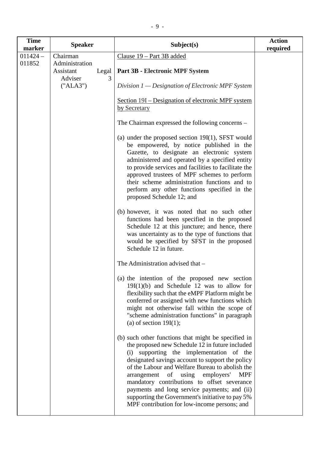| <b>Time</b><br>marker | <b>Speaker</b>                                     |            | Subject(s)                                                                                                                                                                                                                                                                                                                                                                                                                                                                                                          | <b>Action</b><br>required |
|-----------------------|----------------------------------------------------|------------|---------------------------------------------------------------------------------------------------------------------------------------------------------------------------------------------------------------------------------------------------------------------------------------------------------------------------------------------------------------------------------------------------------------------------------------------------------------------------------------------------------------------|---------------------------|
| $011424 -$            | Chairman                                           |            | Clause 19 - Part 3B added                                                                                                                                                                                                                                                                                                                                                                                                                                                                                           |                           |
| 011852                | Administration<br>Assistant<br>Adviser<br>("ALA3") | Legal<br>3 | <b>Part 3B - Electronic MPF System</b><br>Division $1$ — Designation of Electronic MPF System                                                                                                                                                                                                                                                                                                                                                                                                                       |                           |
|                       |                                                    |            | Section 19I – Designation of electronic MPF system<br>by Secretary                                                                                                                                                                                                                                                                                                                                                                                                                                                  |                           |
|                       |                                                    |            | The Chairman expressed the following concerns –                                                                                                                                                                                                                                                                                                                                                                                                                                                                     |                           |
|                       |                                                    |            | (a) under the proposed section $19I(1)$ , SFST would<br>be empowered, by notice published in the<br>Gazette, to designate an electronic system<br>administered and operated by a specified entity<br>to provide services and facilities to facilitate the<br>approved trustees of MPF schemes to perform<br>their scheme administration functions and to<br>perform any other functions specified in the<br>proposed Schedule 12; and                                                                               |                           |
|                       |                                                    |            | (b) however, it was noted that no such other<br>functions had been specified in the proposed<br>Schedule 12 at this juncture; and hence, there<br>was uncertainty as to the type of functions that<br>would be specified by SFST in the proposed<br>Schedule 12 in future.                                                                                                                                                                                                                                          |                           |
|                       |                                                    |            | The Administration advised that -                                                                                                                                                                                                                                                                                                                                                                                                                                                                                   |                           |
|                       |                                                    |            | (a) the intention of the proposed new section<br>$19I(1)(b)$ and Schedule 12 was to allow for<br>flexibility such that the eMPF Platform might be<br>conferred or assigned with new functions which<br>might not otherwise fall within the scope of<br>"scheme administration functions" in paragraph<br>(a) of section $19I(1)$ ;                                                                                                                                                                                  |                           |
|                       |                                                    |            | (b) such other functions that might be specified in<br>the proposed new Schedule 12 in future included<br>(i) supporting the implementation of the<br>designated savings account to support the policy<br>of the Labour and Welfare Bureau to abolish the<br>arrangement<br>of using<br>employers'<br><b>MPF</b><br>mandatory contributions to offset severance<br>payments and long service payments; and (ii)<br>supporting the Government's initiative to pay 5%<br>MPF contribution for low-income persons; and |                           |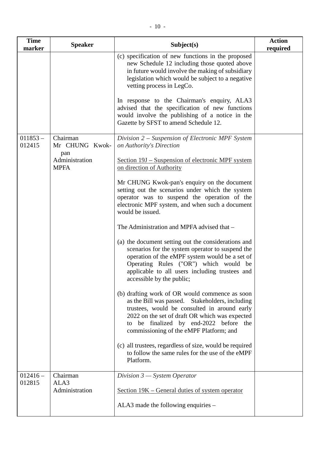| <b>Time</b><br>marker | <b>Speaker</b>                    | Subject(s)                                                                                                                                                                                                                                                                                     | <b>Action</b><br>required |
|-----------------------|-----------------------------------|------------------------------------------------------------------------------------------------------------------------------------------------------------------------------------------------------------------------------------------------------------------------------------------------|---------------------------|
|                       |                                   | (c) specification of new functions in the proposed<br>new Schedule 12 including those quoted above<br>in future would involve the making of subsidiary<br>legislation which would be subject to a negative<br>vetting process in LegCo.                                                        |                           |
|                       |                                   | In response to the Chairman's enquiry, ALA3<br>advised that the specification of new functions<br>would involve the publishing of a notice in the<br>Gazette by SFST to amend Schedule 12.                                                                                                     |                           |
| $011853 -$<br>012415  | Chairman<br>Mr CHUNG Kwok-<br>pan | Division 2 – Suspension of Electronic MPF System<br>on Authority's Direction                                                                                                                                                                                                                   |                           |
|                       | Administration<br><b>MPFA</b>     | <u>Section 19J – Suspension of electronic MPF system</u><br>on direction of Authority                                                                                                                                                                                                          |                           |
|                       |                                   | Mr CHUNG Kwok-pan's enquiry on the document<br>setting out the scenarios under which the system<br>operator was to suspend the operation of the<br>electronic MPF system, and when such a document<br>would be issued.                                                                         |                           |
|                       |                                   | The Administration and MPFA advised that -                                                                                                                                                                                                                                                     |                           |
|                       |                                   | (a) the document setting out the considerations and<br>scenarios for the system operator to suspend the<br>operation of the eMPF system would be a set of<br>Operating Rules ("OR") which would be<br>applicable to all users including trustees and<br>accessible by the public;              |                           |
|                       |                                   | (b) drafting work of OR would commence as soon<br>as the Bill was passed. Stakeholders, including<br>trustees, would be consulted in around early<br>2022 on the set of draft OR which was expected<br>be finalized by end-2022 before<br>the<br>to<br>commissioning of the eMPF Platform; and |                           |
|                       |                                   | (c) all trustees, regardless of size, would be required<br>to follow the same rules for the use of the eMPF<br>Platform.                                                                                                                                                                       |                           |
| $012416 -$<br>012815  | Chairman<br>ALA3                  | Division $3$ – System Operator                                                                                                                                                                                                                                                                 |                           |
|                       | Administration                    | <u>Section 19K – General duties of system operator</u>                                                                                                                                                                                                                                         |                           |
|                       |                                   | ALA3 made the following enquiries –                                                                                                                                                                                                                                                            |                           |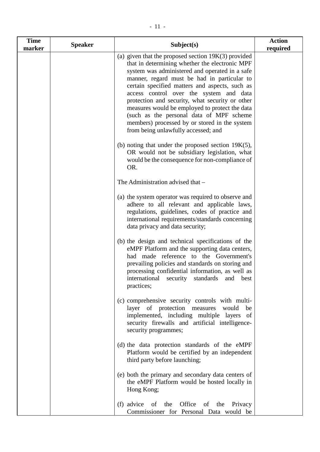| <b>Time</b><br>marker | <b>Speaker</b> | Subject(s)                                                                                                                                                                                                                                                                                                                                                                                                                                                                                                                                     | <b>Action</b><br>required |
|-----------------------|----------------|------------------------------------------------------------------------------------------------------------------------------------------------------------------------------------------------------------------------------------------------------------------------------------------------------------------------------------------------------------------------------------------------------------------------------------------------------------------------------------------------------------------------------------------------|---------------------------|
|                       |                | (a) given that the proposed section $19K(3)$ provided<br>that in determining whether the electronic MPF<br>system was administered and operated in a safe<br>manner, regard must be had in particular to<br>certain specified matters and aspects, such as<br>access control over the system and data<br>protection and security, what security or other<br>measures would be employed to protect the data<br>(such as the personal data of MPF scheme<br>members) processed by or stored in the system<br>from being unlawfully accessed; and |                           |
|                       |                | (b) noting that under the proposed section $19K(5)$ ,<br>OR would not be subsidiary legislation, what<br>would be the consequence for non-compliance of<br>OR.                                                                                                                                                                                                                                                                                                                                                                                 |                           |
|                       |                | The Administration advised that -                                                                                                                                                                                                                                                                                                                                                                                                                                                                                                              |                           |
|                       |                | (a) the system operator was required to observe and<br>adhere to all relevant and applicable laws,<br>regulations, guidelines, codes of practice and<br>international requirements/standards concerning<br>data privacy and data security;                                                                                                                                                                                                                                                                                                     |                           |
|                       |                | (b) the design and technical specifications of the<br>eMPF Platform and the supporting data centers,<br>had made reference to the Government's<br>prevailing policies and standards on storing and<br>processing confidential information, as well as<br>standards and<br>security<br>international<br>best<br>practices;                                                                                                                                                                                                                      |                           |
|                       |                | (c) comprehensive security controls with multi-<br>layer of protection measures<br>would<br>be<br>implemented, including multiple layers of<br>security firewalls and artificial intelligence-<br>security programmes;                                                                                                                                                                                                                                                                                                                         |                           |
|                       |                | (d) the data protection standards of the eMPF<br>Platform would be certified by an independent<br>third party before launching;                                                                                                                                                                                                                                                                                                                                                                                                                |                           |
|                       |                | (e) both the primary and secondary data centers of<br>the eMPF Platform would be hosted locally in<br>Hong Kong;                                                                                                                                                                                                                                                                                                                                                                                                                               |                           |
|                       |                | Office<br>$(f)$ advice of<br>the<br>of the Privacy<br>Commissioner for Personal Data would be                                                                                                                                                                                                                                                                                                                                                                                                                                                  |                           |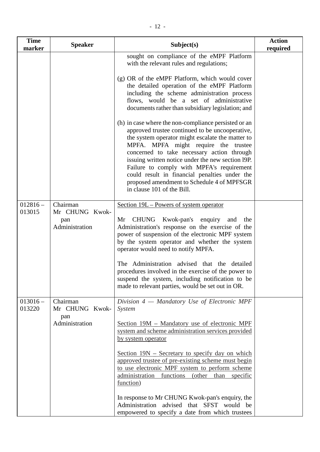| <b>Time</b><br>marker | <b>Speaker</b>                                      | Subject(s)                                                                                                                                                                                                                                                                                                                                                                                                                                                                                                               | <b>Action</b><br>required |
|-----------------------|-----------------------------------------------------|--------------------------------------------------------------------------------------------------------------------------------------------------------------------------------------------------------------------------------------------------------------------------------------------------------------------------------------------------------------------------------------------------------------------------------------------------------------------------------------------------------------------------|---------------------------|
|                       |                                                     | sought on compliance of the eMPF Platform<br>with the relevant rules and regulations;                                                                                                                                                                                                                                                                                                                                                                                                                                    |                           |
|                       |                                                     | (g) OR of the eMPF Platform, which would cover<br>the detailed operation of the eMPF Platform<br>including the scheme administration process<br>flows, would be a set of administrative<br>documents rather than subsidiary legislation; and                                                                                                                                                                                                                                                                             |                           |
|                       |                                                     | (h) in case where the non-compliance persisted or an<br>approved trustee continued to be uncooperative,<br>the system operator might escalate the matter to<br>MPFA. MPFA might require the trustee<br>concerned to take necessary action through<br>issuing written notice under the new section 19P.<br>Failure to comply with MPFA's requirement<br>could result in financial penalties under the<br>proposed amendment to Schedule 4 of MPFSGR<br>in clause 101 of the Bill.                                         |                           |
| $012816 -$<br>013015  | Chairman<br>Mr CHUNG Kwok-<br>pan<br>Administration | <u>Section 19L – Powers of system operator</u><br><b>CHUNG</b><br>Kwok-pan's<br>Mr<br>enquiry and<br>the<br>Administration's response on the exercise of the<br>power of suspension of the electronic MPF system<br>by the system operator and whether the system<br>operator would need to notify MPFA.<br>The Administration advised that the detailed<br>procedures involved in the exercise of the power to<br>suspend the system, including notification to be<br>made to relevant parties, would be set out in OR. |                           |
| $013016 -$<br>013220  | Chairman<br>Mr CHUNG Kwok-<br>pan<br>Administration | Division 4 - Mandatory Use of Electronic MPF<br>System<br>Section 19M – Mandatory use of electronic MPF<br>system and scheme administration services provided<br>by system operator<br><u>Section 19N – Secretary to specify day on which</u>                                                                                                                                                                                                                                                                            |                           |
|                       |                                                     | approved trustee of pre-existing scheme must begin<br>to use electronic MPF system to perform scheme<br>administration functions (other<br>than specific<br>function)<br>In response to Mr CHUNG Kwok-pan's enquiry, the<br>Administration advised that SFST would be                                                                                                                                                                                                                                                    |                           |

empowered to specify a date from which trustees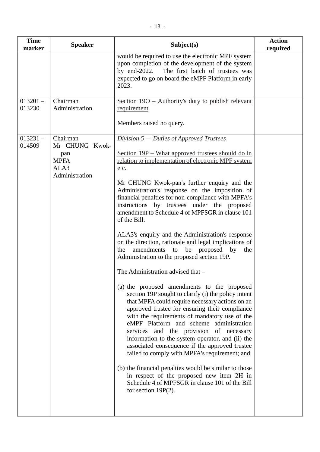| <b>Time</b><br>marker | <b>Speaker</b>                                                             | Subject(s)                                                                                                                                                                                                                                                                                                                                                                                                                                                                                                                                                                                                                                                                                                                                                                                                                                                                                                                                                                                                                                                                                                                                                                                                                                                                                                                                                                                       | <b>Action</b><br>required |
|-----------------------|----------------------------------------------------------------------------|--------------------------------------------------------------------------------------------------------------------------------------------------------------------------------------------------------------------------------------------------------------------------------------------------------------------------------------------------------------------------------------------------------------------------------------------------------------------------------------------------------------------------------------------------------------------------------------------------------------------------------------------------------------------------------------------------------------------------------------------------------------------------------------------------------------------------------------------------------------------------------------------------------------------------------------------------------------------------------------------------------------------------------------------------------------------------------------------------------------------------------------------------------------------------------------------------------------------------------------------------------------------------------------------------------------------------------------------------------------------------------------------------|---------------------------|
|                       |                                                                            | would be required to use the electronic MPF system<br>upon completion of the development of the system<br>by end- $2022$ .<br>The first batch of trustees was<br>expected to go on board the eMPF Platform in early<br>2023.                                                                                                                                                                                                                                                                                                                                                                                                                                                                                                                                                                                                                                                                                                                                                                                                                                                                                                                                                                                                                                                                                                                                                                     |                           |
| $013201 -$<br>013230  | Chairman<br>Administration                                                 | Section 190 – Authority's duty to publish relevant<br>requirement                                                                                                                                                                                                                                                                                                                                                                                                                                                                                                                                                                                                                                                                                                                                                                                                                                                                                                                                                                                                                                                                                                                                                                                                                                                                                                                                |                           |
|                       |                                                                            | Members raised no query.                                                                                                                                                                                                                                                                                                                                                                                                                                                                                                                                                                                                                                                                                                                                                                                                                                                                                                                                                                                                                                                                                                                                                                                                                                                                                                                                                                         |                           |
| $013231 -$<br>014509  | Chairman<br>Mr CHUNG Kwok-<br>pan<br><b>MPFA</b><br>ALA3<br>Administration | Division $5$ — Duties of Approved Trustees<br>Section 19P – What approved trustees should do in<br>relation to implementation of electronic MPF system<br>etc.<br>Mr CHUNG Kwok-pan's further enquiry and the<br>Administration's response on the imposition of<br>financial penalties for non-compliance with MPFA's<br>by trustees under the proposed<br>instructions<br>amendment to Schedule 4 of MPFSGR in clause 101<br>of the Bill.<br>ALA3's enquiry and the Administration's response<br>on the direction, rationale and legal implications of<br>amendments<br>proposed<br>to<br>be<br>by<br>the<br>the<br>Administration to the proposed section 19P.<br>The Administration advised that -<br>(a) the proposed amendments to the proposed<br>section 19P sought to clarify (i) the policy intent<br>that MPFA could require necessary actions on an<br>approved trustee for ensuring their compliance<br>with the requirements of mandatory use of the<br>eMPF Platform and scheme administration<br>services and the provision of necessary<br>information to the system operator, and (ii) the<br>associated consequence if the approved trustee<br>failed to comply with MPFA's requirement; and<br>(b) the financial penalties would be similar to those<br>in respect of the proposed new item 2H in<br>Schedule 4 of MPFSGR in clause 101 of the Bill<br>for section $19P(2)$ . |                           |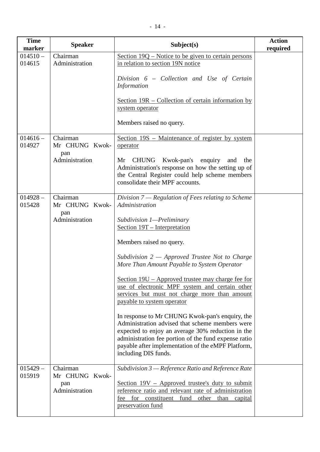| <b>Time</b><br>marker | <b>Speaker</b>             | Subject(s)                                                                                                                                                                                                                                                                                    | <b>Action</b><br>required |
|-----------------------|----------------------------|-----------------------------------------------------------------------------------------------------------------------------------------------------------------------------------------------------------------------------------------------------------------------------------------------|---------------------------|
| $014510 -$<br>014615  | Chairman<br>Administration | Section 19Q – Notice to be given to certain persons<br>in relation to section 19N notice                                                                                                                                                                                                      |                           |
|                       |                            | Division 6 - Collection and Use of Certain<br><b>Information</b>                                                                                                                                                                                                                              |                           |
|                       |                            | Section $19R$ – Collection of certain information by<br>system operator                                                                                                                                                                                                                       |                           |
|                       |                            | Members raised no query.                                                                                                                                                                                                                                                                      |                           |
| $014616 -$<br>014927  | Chairman<br>Mr CHUNG Kwok- | Section 19S – Maintenance of register by system<br>operator                                                                                                                                                                                                                                   |                           |
|                       | pan<br>Administration      | Mr CHUNG Kwok-pan's enquiry and the<br>Administration's response on how the setting up of<br>the Central Register could help scheme members<br>consolidate their MPF accounts.                                                                                                                |                           |
| $014928 -$<br>015428  | Chairman<br>Mr CHUNG Kwok- | Division $7$ — Regulation of Fees relating to Scheme<br>Administration                                                                                                                                                                                                                        |                           |
|                       | pan<br>Administration      | Subdivision 1—Preliminary<br>Section 19T – Interpretation                                                                                                                                                                                                                                     |                           |
|                       |                            | Members raised no query.                                                                                                                                                                                                                                                                      |                           |
|                       |                            | Subdivision $2$ – Approved Trustee Not to Charge<br>More Than Amount Payable to System Operator                                                                                                                                                                                               |                           |
|                       |                            | Section 19U – Approved trustee may charge fee for<br>use of electronic MPF system and certain other<br>services but must not charge more than amount<br>payable to system operator                                                                                                            |                           |
|                       |                            | In response to Mr CHUNG Kwok-pan's enquiry, the<br>Administration advised that scheme members were<br>expected to enjoy an average 30% reduction in the<br>administration fee portion of the fund expense ratio<br>payable after implementation of the eMPF Platform,<br>including DIS funds. |                           |
| $015429 -$<br>015919  | Chairman<br>Mr CHUNG Kwok- | Subdivision 3 - Reference Ratio and Reference Rate                                                                                                                                                                                                                                            |                           |
|                       | pan<br>Administration      | <u>Section 19V – Approved trustee's duty to submit</u><br>reference ratio and relevant rate of administration<br>fee for constituent fund other than capital<br>preservation fund                                                                                                             |                           |